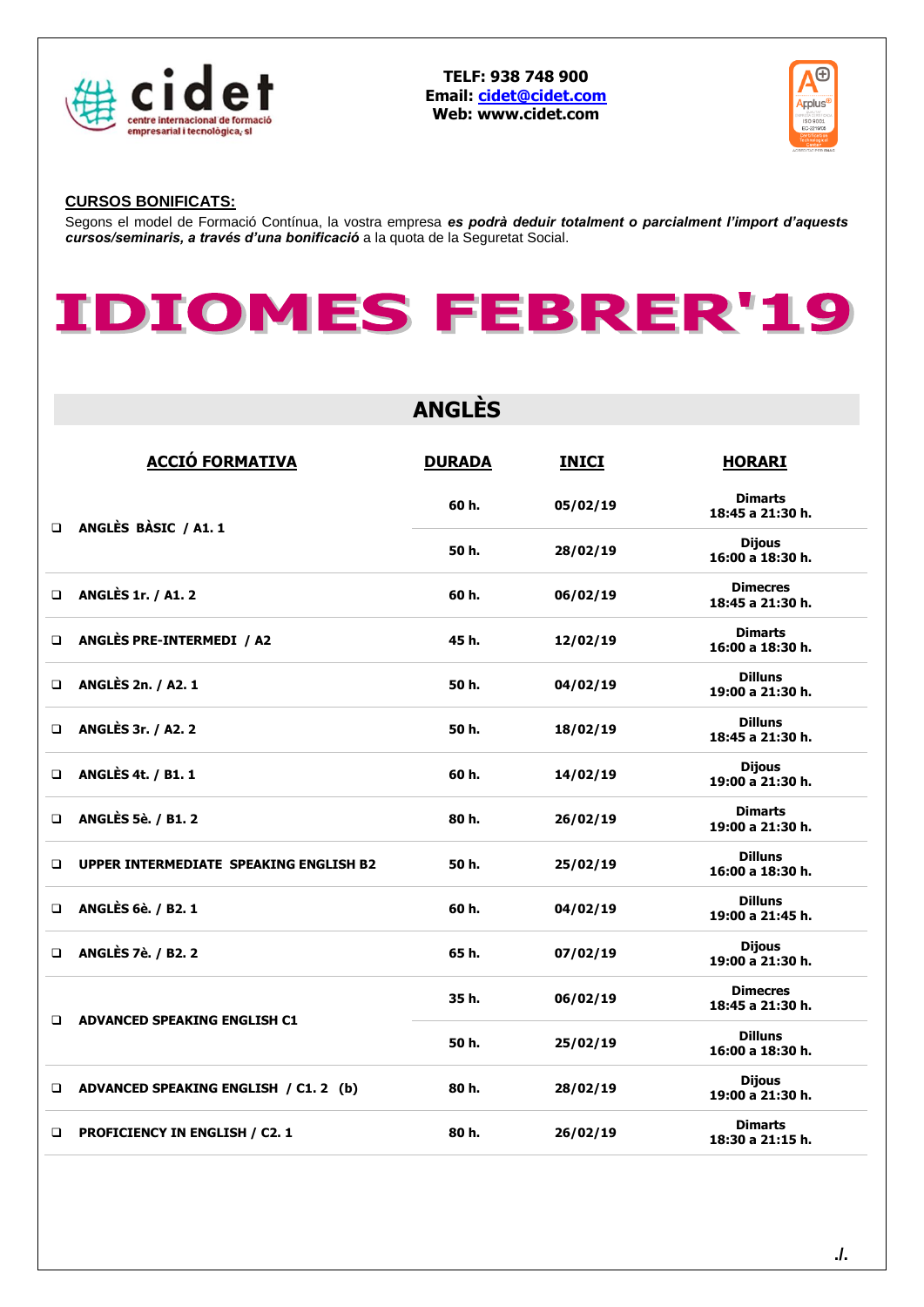

**TELF: 938 748 900 Email: [cidet@cidet.com](mailto:cidet@cidet.com) Web: www.cidet.com**



## **CURSOS BONIFICATS:**

Segons el model de Formació Contínua, la vostra empresa *es podrà deduir totalment o parcialment l'import d'aquests cursos/seminaris, a través d'una bonificació* a la quota de la Seguretat Social.



|        | <b>ANGLÈS</b>                                 |               |              |                                     |  |  |
|--------|-----------------------------------------------|---------------|--------------|-------------------------------------|--|--|
|        | <b>ACCIÓ FORMATIVA</b>                        | <b>DURADA</b> | <b>INICI</b> | <b>HORARI</b>                       |  |  |
| $\Box$ | ANGLÈS BÀSIC / A1.1                           | 60 h.         | 05/02/19     | <b>Dimarts</b><br>18:45 a 21:30 h.  |  |  |
|        |                                               | 50 h.         | 28/02/19     | <b>Dijous</b><br>16:00 a 18:30 h.   |  |  |
| □      | <b>ANGLÈS 1r. / A1. 2</b>                     | 60 h.         | 06/02/19     | <b>Dimecres</b><br>18:45 a 21:30 h. |  |  |
| $\Box$ | ANGLÈS PRE-INTERMEDI / A2                     | 45 h.         | 12/02/19     | <b>Dimarts</b><br>16:00 a 18:30 h.  |  |  |
| $\Box$ | <b>ANGLÈS 2n. / A2. 1</b>                     | 50 h.         | 04/02/19     | <b>Dilluns</b><br>19:00 a 21:30 h.  |  |  |
| □      | <b>ANGLÈS 3r. / A2. 2</b>                     | 50 h.         | 18/02/19     | <b>Dilluns</b><br>18:45 a 21:30 h.  |  |  |
| □      | <b>ANGLÈS 4t. / B1. 1</b>                     | 60 h.         | 14/02/19     | <b>Dijous</b><br>19:00 a 21:30 h.   |  |  |
| ◻      | <b>ANGLÈS 5è. / B1. 2</b>                     | 80 h.         | 26/02/19     | <b>Dimarts</b><br>19:00 a 21:30 h.  |  |  |
| $\Box$ | <b>UPPER INTERMEDIATE SPEAKING ENGLISH B2</b> | 50 h.         | 25/02/19     | <b>Dilluns</b><br>16:00 a 18:30 h.  |  |  |
| $\Box$ | <b>ANGLÈS 6è. / B2. 1</b>                     | 60 h.         | 04/02/19     | <b>Dilluns</b><br>19:00 a 21:45 h.  |  |  |
| □      | <b>ANGLÈS 7è. / B2. 2</b>                     | 65 h.         | 07/02/19     | <b>Dijous</b><br>19:00 a 21:30 h.   |  |  |
| ◻      | <b>ADVANCED SPEAKING ENGLISH C1</b>           | 35 h.         | 06/02/19     | <b>Dimecres</b><br>18:45 a 21:30 h. |  |  |
|        |                                               | 50 h.         | 25/02/19     | <b>Dilluns</b><br>16:00 a 18:30 h.  |  |  |
| ❏      | ADVANCED SPEAKING ENGLISH / C1. 2 (b)         | 80 h.         | 28/02/19     | <b>Dijous</b><br>19:00 a 21:30 h.   |  |  |
| ❏      | <b>PROFICIENCY IN ENGLISH / C2. 1</b>         | 80 h.         | 26/02/19     | <b>Dimarts</b><br>18:30 a 21:15 h.  |  |  |